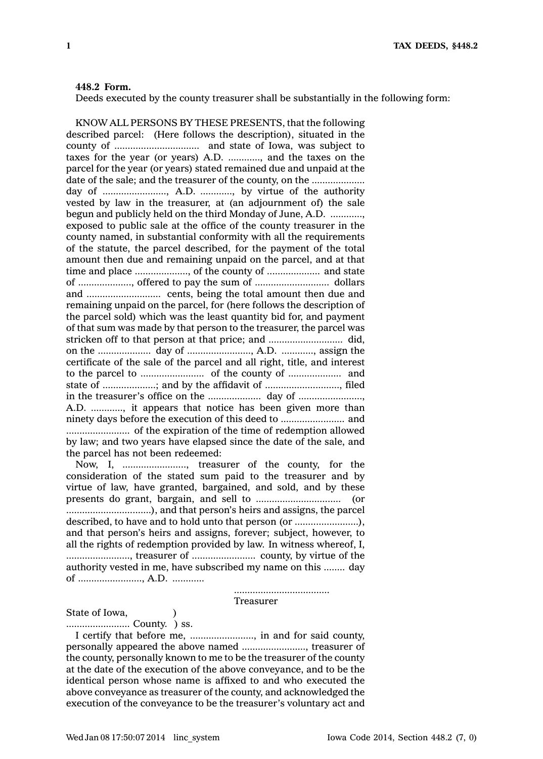## **448.2 Form.**

Deeds executed by the county treasurer shall be substantially in the following form:

KNOW ALL PERSONS BY THESE PRESENTS, that the following described parcel: (Here follows the description), situated in the county of ................................ and state of Iowa, was subject to taxes for the year (or years) A.D. ............, and the taxes on the parcel for the year (or years) stated remained due and unpaid at the date of the sale; and the treasurer of the county, on the ..................... day of ........................, A.D. ............, by virtue of the authority vested by law in the treasurer, at (an adjournment of) the sale begun and publicly held on the third Monday of June, A.D. ............, exposed to public sale at the office of the county treasurer in the county named, in substantial conformity with all the requirements of the statute, the parcel described, for the payment of the total amount then due and remaining unpaid on the parcel, and at that time and place ...................., of the county of .................... and state of ...................., offered to pay the sum of ............................ dollars and ............................ cents, being the total amount then due and remaining unpaid on the parcel, for (here follows the description of the parcel sold) which was the least quantity bid for, and payment of that sum was made by that person to the treasurer, the parcel was stricken off to that person at that price; and ............................ did, on the .................... day of ........................, A.D. ............, assign the certificate of the sale of the parcel and all right, title, and interest to the parcel to ........................ of the county of .................... and state of ....................; and by the affidavit of ............................, filed in the treasurer's office on the .................... day of ........................, A.D. ............, it appears that notice has been given more than ninety days before the execution of this deed to ........................ and ........................ of the expiration of the time of redemption allowed by law; and two years have elapsed since the date of the sale, and the parcel has not been redeemed:

Now, I, ........................, treasurer of the county, for the consideration of the stated sum paid to the treasurer and by virtue of law, have granted, bargained, and sold, and by these presents do grant, bargain, and sell to ................................ (or ................................), and that person's heirs and assigns, the parcel described, to have and to hold unto that person (or ........................), and that person's heirs and assigns, forever; subject, however, to all the rights of redemption provided by law. In witness whereof, I, ........................, treasurer of ........................ county, by virtue of the authority vested in me, have subscribed my name on this ........ day of ........................, A.D. ............

## Treasurer

....................................

State of Iowa, (1)

........................ County. ) ss.

I certify that before me, ........................, in and for said county, personally appeared the above named ........................, treasurer of the county, personally known to me to be the treasurer of the county at the date of the execution of the above conveyance, and to be the identical person whose name is affixed to and who executed the above conveyance as treasurer of the county, and acknowledged the execution of the conveyance to be the treasurer's voluntary act and